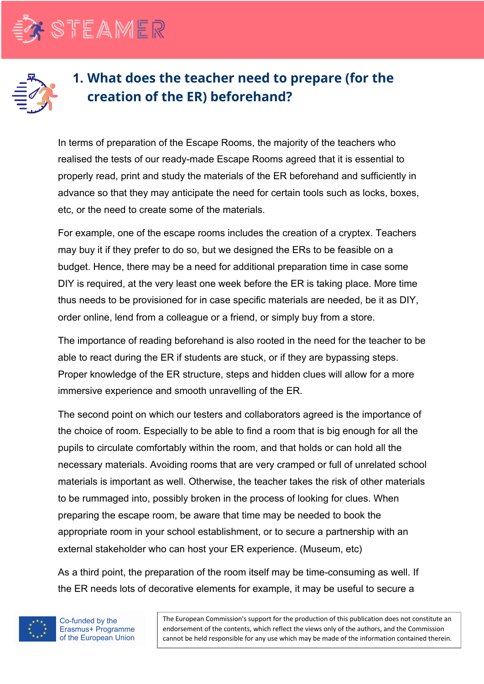



## **1. What does the teacher need to prepare (for the creation of the ER) beforehand?**

In terms of preparation of the Escape Rooms, the majority of the teachers who realised the tests of our ready-made Escape Rooms agreed that it is essential to properly read, print and study the materials of the ER beforehand and sufficiently in advance so that they may anticipate the need for certain tools such as locks, boxes, etc, or the need to create some of the materials.

For example, one of the escape rooms includes the creation of a cryptex. Teachers may buy it if they prefer to do so, but we designed the ERs to be feasible on a budget. Hence, there may be a need for additional preparation time in case some DIY is required, at the very least one week before the ER is taking place. More time thus needs to be provisioned for in case specific materials are needed, be it as DIY, order online, lend from a colleague or a friend, or simply buy from a store.

The importance of reading beforehand is also rooted in the need for the teacher to be able to react during the ER if students are stuck, or if they are bypassing steps. Proper knowledge of the ER structure, steps and hidden clues will allow for a more immersive experience and smooth unravelling of the ER.

The second point on which our testers and collaborators agreed is the importance of the choice of room. Especially to be able to find a room that is big enough for all the pupils to circulate comfortably within the room, and that holds or can hold all the necessary materials. Avoiding rooms that are very cramped or full of unrelated school materials is important as well. Otherwise, the teacher takes the risk of other materials to be rummaged into, possibly broken in the process of looking for clues. When preparing the escape room, be aware that time may be needed to book the appropriate room in your school establishment, or to secure a partnership with an external stakeholder who can host your ER experience. (Museum, etc)

As a third point, the preparation of the room itself may be time-consuming as well. If the ER needs lots of decorative elements for example, it may be useful to secure a



The European Commission's support for the production of this publication does not constitute an endorsement of the contents, which reflect the views only of the authors, and the Commission cannot be held responsible for any use which may be made of the information contained therein.